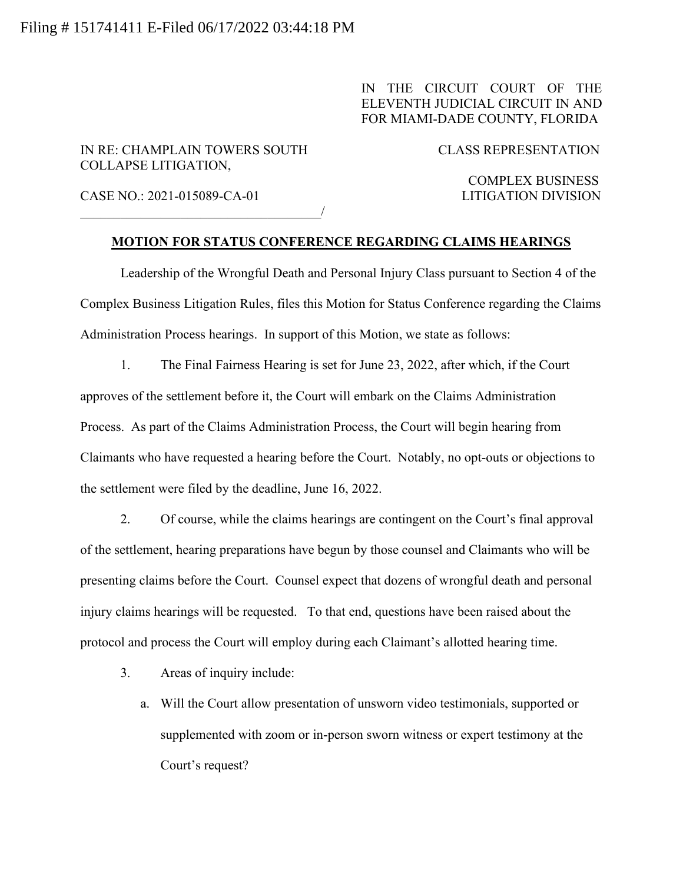IN THE CIRCUIT COURT OF THE ELEVENTH JUDICIAL CIRCUIT IN AND FOR MIAMI-DADE COUNTY, FLORIDA

IN RE: CHAMPLAIN TOWERS SOUTH CLASS REPRESENTATION COLLAPSE LITIGATION,

 $\overline{\phantom{a}}$ 

CASE NO.: 2021-015089-CA-01 LITIGATION DIVISION

COMPLEX BUSINESS

## **MOTION FOR STATUS CONFERENCE REGARDING CLAIMS HEARINGS**

Leadership of the Wrongful Death and Personal Injury Class pursuant to Section 4 of the Complex Business Litigation Rules, files this Motion for Status Conference regarding the Claims Administration Process hearings. In support of this Motion, we state as follows:

1. The Final Fairness Hearing is set for June 23, 2022, after which, if the Court approves of the settlement before it, the Court will embark on the Claims Administration Process. As part of the Claims Administration Process, the Court will begin hearing from Claimants who have requested a hearing before the Court. Notably, no opt-outs or objections to the settlement were filed by the deadline, June 16, 2022.

2. Of course, while the claims hearings are contingent on the Court's final approval of the settlement, hearing preparations have begun by those counsel and Claimants who will be presenting claims before the Court. Counsel expect that dozens of wrongful death and personal injury claims hearings will be requested. To that end, questions have been raised about the protocol and process the Court will employ during each Claimant's allotted hearing time.

- 3. Areas of inquiry include:
	- a. Will the Court allow presentation of unsworn video testimonials, supported or supplemented with zoom or in-person sworn witness or expert testimony at the Court's request?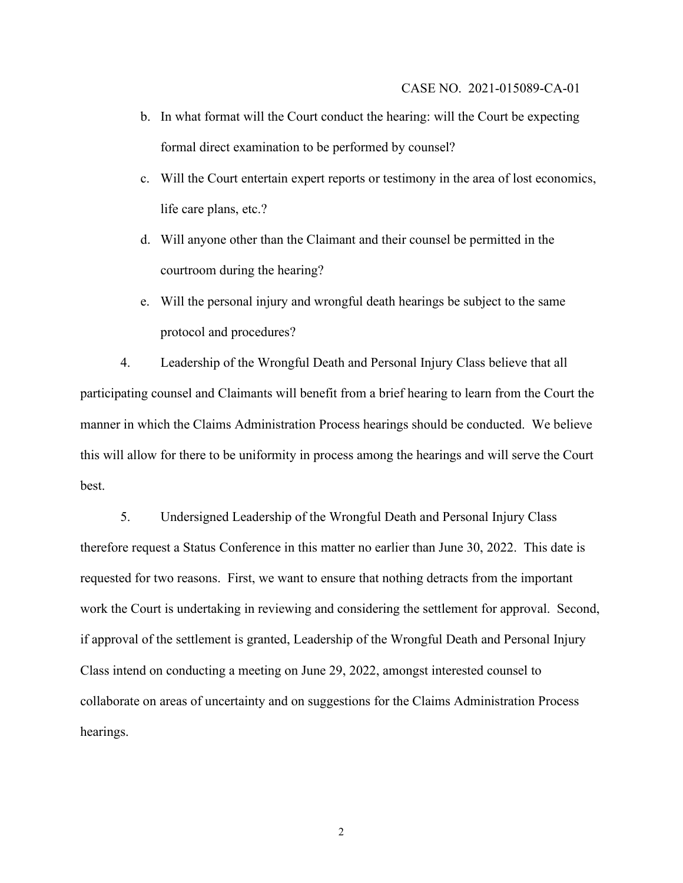- b. In what format will the Court conduct the hearing: will the Court be expecting formal direct examination to be performed by counsel?
- c. Will the Court entertain expert reports or testimony in the area of lost economics, life care plans, etc.?
- d. Will anyone other than the Claimant and their counsel be permitted in the courtroom during the hearing?
- e. Will the personal injury and wrongful death hearings be subject to the same protocol and procedures?

4. Leadership of the Wrongful Death and Personal Injury Class believe that all participating counsel and Claimants will benefit from a brief hearing to learn from the Court the manner in which the Claims Administration Process hearings should be conducted. We believe this will allow for there to be uniformity in process among the hearings and will serve the Court best.

5. Undersigned Leadership of the Wrongful Death and Personal Injury Class therefore request a Status Conference in this matter no earlier than June 30, 2022. This date is requested for two reasons. First, we want to ensure that nothing detracts from the important work the Court is undertaking in reviewing and considering the settlement for approval. Second, if approval of the settlement is granted, Leadership of the Wrongful Death and Personal Injury Class intend on conducting a meeting on June 29, 2022, amongst interested counsel to collaborate on areas of uncertainty and on suggestions for the Claims Administration Process hearings.

2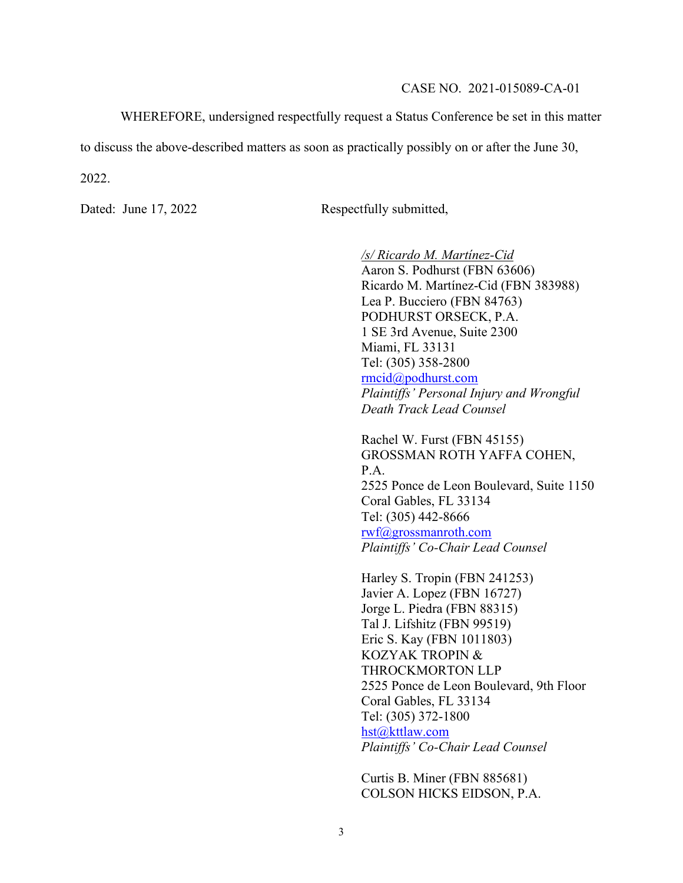WHEREFORE, undersigned respectfully request a Status Conference be set in this matter

to discuss the above-described matters as soon as practically possibly on or after the June 30,

2022.

Dated: June 17, 2022 Respectfully submitted,

*/s/ Ricardo M. Martínez-Cid* Aaron S. Podhurst (FBN 63606) Ricardo M. Martínez-Cid (FBN 383988) Lea P. Bucciero (FBN 84763) PODHURST ORSECK, P.A. 1 SE 3rd Avenue, Suite 2300 Miami, FL 33131 Tel: (305) 358-2800 rmcid@podhurst.com *Plaintiffs' Personal Injury and Wrongful Death Track Lead Counsel*

Rachel W. Furst (FBN 45155) GROSSMAN ROTH YAFFA COHEN, P.A. 2525 Ponce de Leon Boulevard, Suite 1150 Coral Gables, FL 33134 Tel: (305) 442-8666 rwf@grossmanroth.com *Plaintiffs' Co-Chair Lead Counsel*

Harley S. Tropin (FBN 241253) Javier A. Lopez (FBN 16727) Jorge L. Piedra (FBN 88315) Tal J. Lifshitz (FBN 99519) Eric S. Kay (FBN 1011803) KOZYAK TROPIN & THROCKMORTON LLP 2525 Ponce de Leon Boulevard, 9th Floor Coral Gables, FL 33134 Tel: (305) 372-1800 hst@kttlaw.com *Plaintiffs' Co-Chair Lead Counsel*

Curtis B. Miner (FBN 885681) COLSON HICKS EIDSON, P.A.